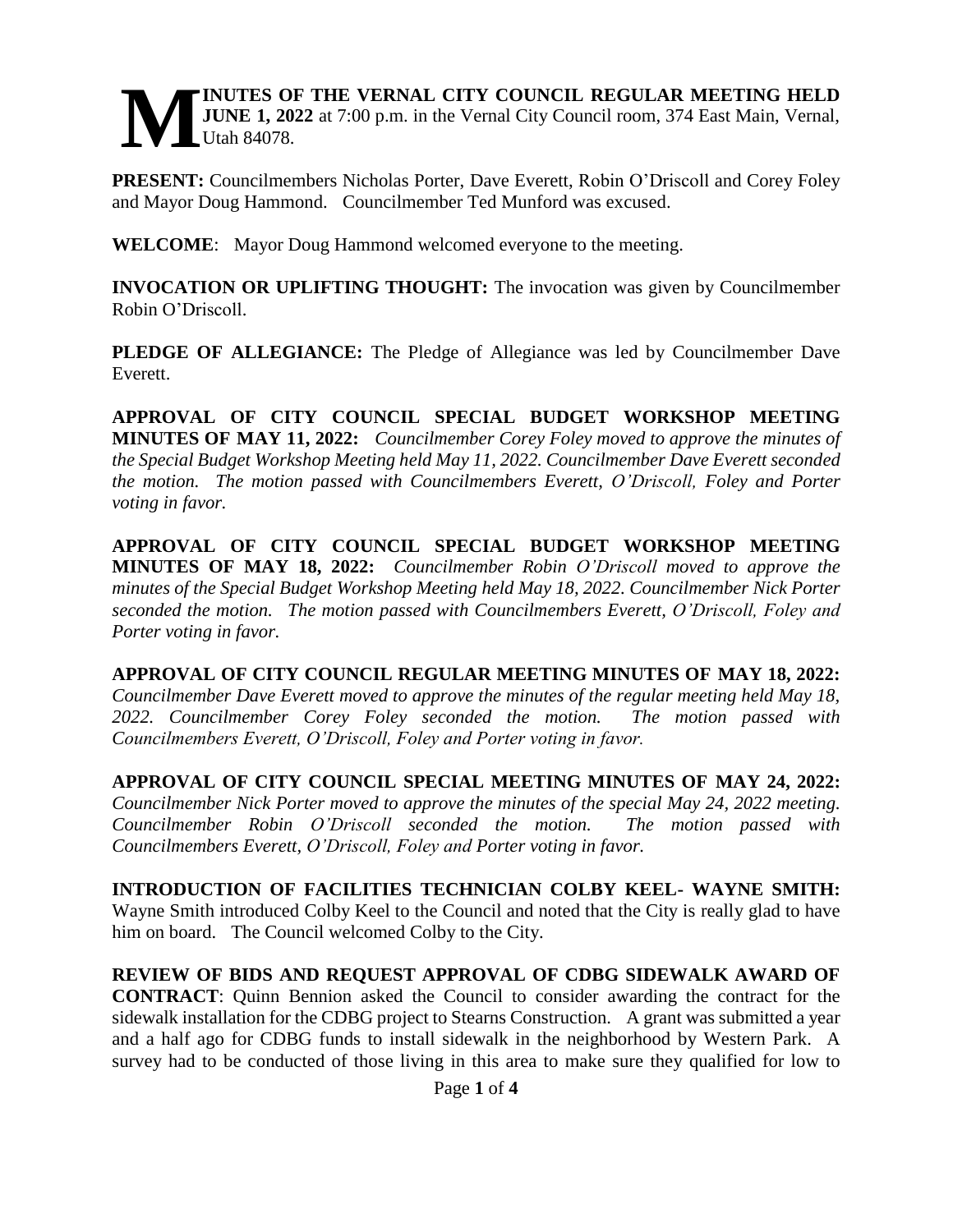#### **INUTES OF THE VERNAL CITY COUNCIL REGULAR MEETING HELD JUNE 1, 2022** at 7:00 p.m. in the Vernal City Council room, 374 East Main, Vernal, Utah 84078. **M**

**PRESENT:** Councilmembers Nicholas Porter, Dave Everett, Robin O'Driscoll and Corey Foley and Mayor Doug Hammond. Councilmember Ted Munford was excused.

**WELCOME**: Mayor Doug Hammond welcomed everyone to the meeting.

**INVOCATION OR UPLIFTING THOUGHT:** The invocation was given by Councilmember Robin O'Driscoll.

**PLEDGE OF ALLEGIANCE:** The Pledge of Allegiance was led by Councilmember Dave Everett.

**APPROVAL OF CITY COUNCIL SPECIAL BUDGET WORKSHOP MEETING MINUTES OF MAY 11, 2022:** *Councilmember Corey Foley moved to approve the minutes of the Special Budget Workshop Meeting held May 11, 2022. Councilmember Dave Everett seconded the motion. The motion passed with Councilmembers Everett, O'Driscoll, Foley and Porter voting in favor.* 

**APPROVAL OF CITY COUNCIL SPECIAL BUDGET WORKSHOP MEETING MINUTES OF MAY 18, 2022:** *Councilmember Robin O'Driscoll moved to approve the minutes of the Special Budget Workshop Meeting held May 18, 2022. Councilmember Nick Porter seconded the motion. The motion passed with Councilmembers Everett, O'Driscoll, Foley and Porter voting in favor.* 

**APPROVAL OF CITY COUNCIL REGULAR MEETING MINUTES OF MAY 18, 2022:**  *Councilmember Dave Everett moved to approve the minutes of the regular meeting held May 18, 2022. Councilmember Corey Foley seconded the motion. The motion passed with Councilmembers Everett, O'Driscoll, Foley and Porter voting in favor.*

**APPROVAL OF CITY COUNCIL SPECIAL MEETING MINUTES OF MAY 24, 2022:**  *Councilmember Nick Porter moved to approve the minutes of the special May 24, 2022 meeting. Councilmember Robin O'Driscoll seconded the motion. The motion passed with Councilmembers Everett, O'Driscoll, Foley and Porter voting in favor.* 

**INTRODUCTION OF FACILITIES TECHNICIAN COLBY KEEL- WAYNE SMITH:**  Wayne Smith introduced Colby Keel to the Council and noted that the City is really glad to have him on board. The Council welcomed Colby to the City.

**REVIEW OF BIDS AND REQUEST APPROVAL OF CDBG SIDEWALK AWARD OF CONTRACT**: Quinn Bennion asked the Council to consider awarding the contract for the sidewalk installation for the CDBG project to Stearns Construction. A grant was submitted a year and a half ago for CDBG funds to install sidewalk in the neighborhood by Western Park. A survey had to be conducted of those living in this area to make sure they qualified for low to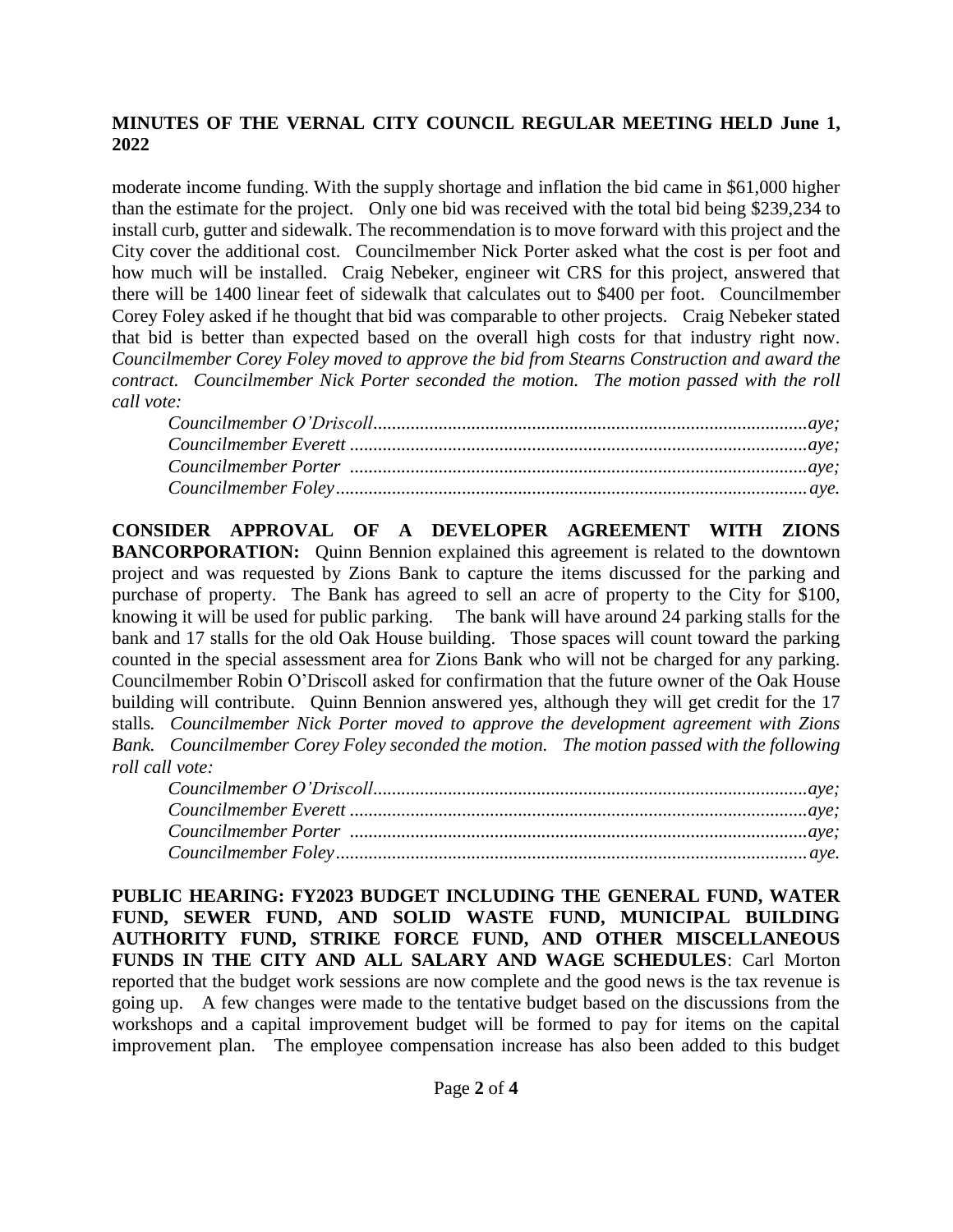### **MINUTES OF THE VERNAL CITY COUNCIL REGULAR MEETING HELD June 1, 2022**

moderate income funding. With the supply shortage and inflation the bid came in \$61,000 higher than the estimate for the project. Only one bid was received with the total bid being \$239,234 to install curb, gutter and sidewalk. The recommendation is to move forward with this project and the City cover the additional cost. Councilmember Nick Porter asked what the cost is per foot and how much will be installed. Craig Nebeker, engineer wit CRS for this project, answered that there will be 1400 linear feet of sidewalk that calculates out to \$400 per foot. Councilmember Corey Foley asked if he thought that bid was comparable to other projects. Craig Nebeker stated that bid is better than expected based on the overall high costs for that industry right now. *Councilmember Corey Foley moved to approve the bid from Stearns Construction and award the contract. Councilmember Nick Porter seconded the motion. The motion passed with the roll call vote:*

**CONSIDER APPROVAL OF A DEVELOPER AGREEMENT WITH ZIONS BANCORPORATION:** Ouinn Bennion explained this agreement is related to the downtown project and was requested by Zions Bank to capture the items discussed for the parking and purchase of property. The Bank has agreed to sell an acre of property to the City for \$100, knowing it will be used for public parking. The bank will have around 24 parking stalls for the bank and 17 stalls for the old Oak House building. Those spaces will count toward the parking counted in the special assessment area for Zions Bank who will not be charged for any parking. Councilmember Robin O'Driscoll asked for confirmation that the future owner of the Oak House building will contribute. Quinn Bennion answered yes, although they will get credit for the 17 stalls*. Councilmember Nick Porter moved to approve the development agreement with Zions Bank. Councilmember Corey Foley seconded the motion. The motion passed with the following roll call vote:* 

| ${C} \label{C} \emph{c} \emph{c} \emph{c} \emph{u} \emph{m} \emph{e} \emph{r} \emph{c} \emph{c} \emph{c} \emph{c} \emph{c} \emph{c} \emph{c} \emph{c} \emph{c} \emph{c} \emph{c} \emph{c} \emph{c} \emph{c} \emph{c} \emph{c} \emph{c} \emph{c} \emph{c} \emph{d} \emph{c} \emph{c} \emph{c} \emph{d} \emph{c} \emph{d} \emph{c} \emph{d} \em$ |  |
|------------------------------------------------------------------------------------------------------------------------------------------------------------------------------------------------------------------------------------------------------------------------------------------------------------------------------------------------|--|
|                                                                                                                                                                                                                                                                                                                                                |  |
|                                                                                                                                                                                                                                                                                                                                                |  |
|                                                                                                                                                                                                                                                                                                                                                |  |

**PUBLIC HEARING: FY2023 BUDGET INCLUDING THE GENERAL FUND, WATER FUND, SEWER FUND, AND SOLID WASTE FUND, MUNICIPAL BUILDING AUTHORITY FUND, STRIKE FORCE FUND, AND OTHER MISCELLANEOUS FUNDS IN THE CITY AND ALL SALARY AND WAGE SCHEDULES**: Carl Morton reported that the budget work sessions are now complete and the good news is the tax revenue is going up. A few changes were made to the tentative budget based on the discussions from the workshops and a capital improvement budget will be formed to pay for items on the capital improvement plan. The employee compensation increase has also been added to this budget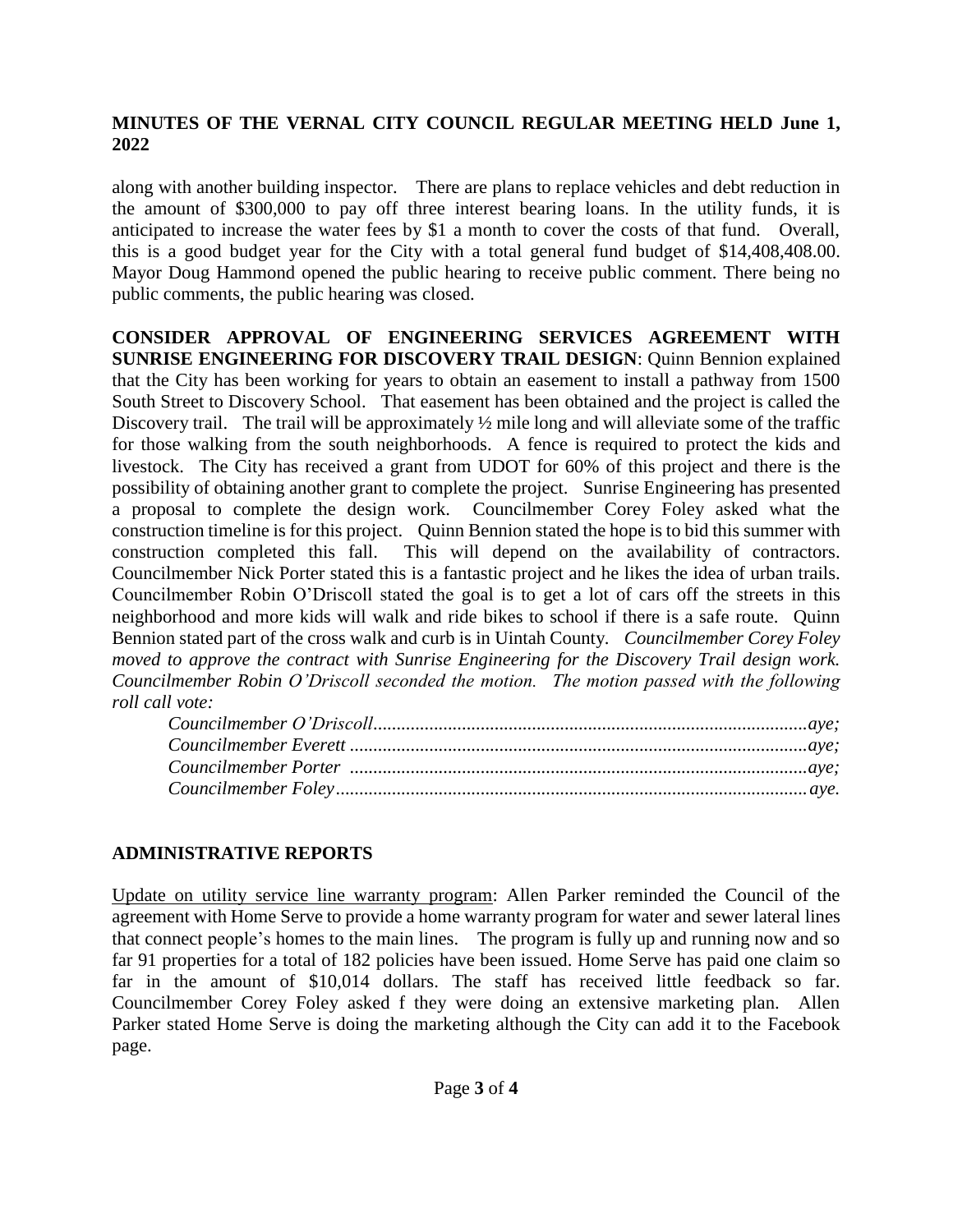## **MINUTES OF THE VERNAL CITY COUNCIL REGULAR MEETING HELD June 1, 2022**

along with another building inspector. There are plans to replace vehicles and debt reduction in the amount of \$300,000 to pay off three interest bearing loans. In the utility funds, it is anticipated to increase the water fees by \$1 a month to cover the costs of that fund. Overall, this is a good budget year for the City with a total general fund budget of \$14,408,408.00. Mayor Doug Hammond opened the public hearing to receive public comment. There being no public comments, the public hearing was closed.

**CONSIDER APPROVAL OF ENGINEERING SERVICES AGREEMENT WITH SUNRISE ENGINEERING FOR DISCOVERY TRAIL DESIGN**: Quinn Bennion explained that the City has been working for years to obtain an easement to install a pathway from 1500 South Street to Discovery School. That easement has been obtained and the project is called the Discovery trail. The trail will be approximately  $\frac{1}{2}$  mile long and will alleviate some of the traffic for those walking from the south neighborhoods. A fence is required to protect the kids and livestock. The City has received a grant from UDOT for 60% of this project and there is the possibility of obtaining another grant to complete the project. Sunrise Engineering has presented a proposal to complete the design work. Councilmember Corey Foley asked what the construction timeline is for this project. Quinn Bennion stated the hope is to bid this summer with construction completed this fall. This will depend on the availability of contractors. Councilmember Nick Porter stated this is a fantastic project and he likes the idea of urban trails. Councilmember Robin O'Driscoll stated the goal is to get a lot of cars off the streets in this neighborhood and more kids will walk and ride bikes to school if there is a safe route. Quinn Bennion stated part of the cross walk and curb is in Uintah County. *Councilmember Corey Foley moved to approve the contract with Sunrise Engineering for the Discovery Trail design work. Councilmember Robin O'Driscoll seconded the motion. The motion passed with the following roll call vote:* 

# **ADMINISTRATIVE REPORTS**

Update on utility service line warranty program: Allen Parker reminded the Council of the agreement with Home Serve to provide a home warranty program for water and sewer lateral lines that connect people's homes to the main lines. The program is fully up and running now and so far 91 properties for a total of 182 policies have been issued. Home Serve has paid one claim so far in the amount of \$10,014 dollars. The staff has received little feedback so far. Councilmember Corey Foley asked f they were doing an extensive marketing plan. Allen Parker stated Home Serve is doing the marketing although the City can add it to the Facebook page.